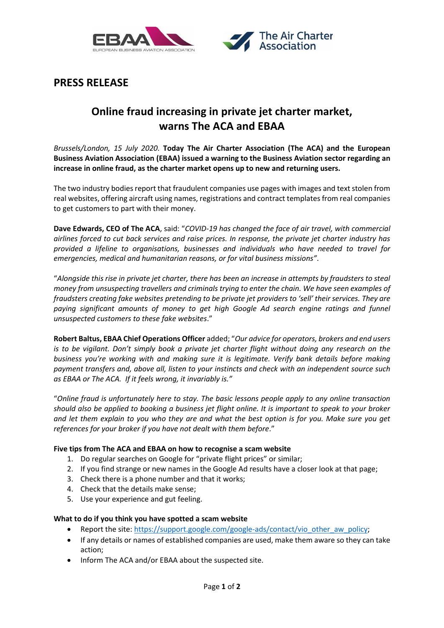



# **PRESS RELEASE**

# **Online fraud increasing in private jet charter market, warns The ACA and EBAA**

*Brussels/London, 15 July 2020.* **Today The Air Charter Association (The ACA) and the European Business Aviation Association (EBAA) issued a warning to the Business Aviation sector regarding an increase in online fraud, as the charter market opens up to new and returning users.**

The two industry bodies report that fraudulent companies use pages with images and text stolen from real websites, offering aircraft using names, registrations and contract templates from real companies to get customers to part with their money.

**Dave Edwards, CEO of The ACA**, said: "*COVID-19 has changed the face of air travel, with commercial airlines forced to cut back services and raise prices. In response, the private jet charter industry has provided a lifeline to organisations, businesses and individuals who have needed to travel for emergencies, medical and humanitarian reasons, or for vital business missions"*.

"*Alongside this rise in private jet charter, there has been an increase in attempts by fraudsters to steal money from unsuspecting travellers and criminals trying to enter the chain. We have seen examples of fraudsters creating fake websites pretending to be private jet providers to 'sell' their services. They are paying significant amounts of money to get high Google Ad search engine ratings and funnel unsuspected customers to these fake websites*."

**Robert Baltus, EBAA Chief Operations Officer** added; "*Our advice for operators, brokers and end users is to be vigilant. Don't simply book a private jet charter flight without doing any research on the business you're working with and making sure it is legitimate. Verify bank details before making payment transfers and, above all, listen to your instincts and check with an independent source such as EBAA or The ACA. If it feels wrong, it invariably is."*

"*Online fraud is unfortunately here to stay. The basic lessons people apply to any online transaction should also be applied to booking a business jet flight online. It is important to speak to your broker and let them explain to you who they are and what the best option is for you. Make sure you get references for your broker if you have not dealt with them before*."

# **Five tips from The ACA and EBAA on how to recognise a scam website**

- 1. Do regular searches on Google for "private flight prices" or similar;
- 2. If you find strange or new names in the Google Ad results have a closer look at that page;
- 3. Check there is a phone number and that it works;
- 4. Check that the details make sense;
- 5. Use your experience and gut feeling.

# **What to do if you think you have spotted a scam website**

- Report the site: [https://support.google.com/google-ads/contact/vio\\_other\\_aw\\_policy;](https://support.google.com/google-ads/contact/vio_other_aw_policy)
- If any details or names of established companies are used, make them aware so they can take action;
- Inform The ACA and/or EBAA about the suspected site.